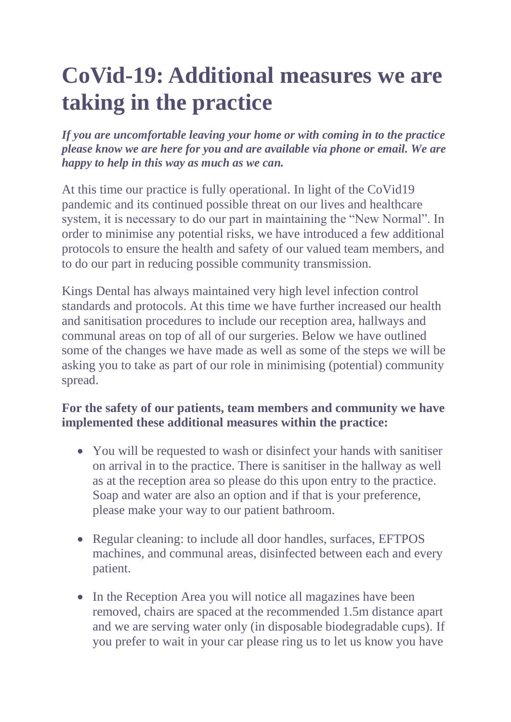## **CoVid-19: Additional measures we are taking in the practice**

*If you are uncomfortable leaving your home or with coming in to the practice please know we are here for you and are available via phone or email. We are happy to help in this way as much as we can.*

At this time our practice is fully operational. In light of the CoVid19 pandemic and its continued possible threat on our lives and healthcare system, it is necessary to do our part in maintaining the "New Normal". In order to minimise any potential risks, we have introduced a few additional protocols to ensure the health and safety of our valued team members, and to do our part in reducing possible community transmission.

Kings Dental has always maintained very high level infection control standards and protocols. At this time we have further increased our health and sanitisation procedures to include our reception area, hallways and communal areas on top of all of our surgeries. Below we have outlined some of the changes we have made as well as some of the steps we will be asking you to take as part of our role in minimising (potential) community spread.

## **For the safety of our patients, team members and community we have implemented these additional measures within the practice:**

- You will be requested to wash or disinfect your hands with sanitiser on arrival in to the practice. There is sanitiser in the hallway as well as at the reception area so please do this upon entry to the practice. Soap and water are also an option and if that is your preference, please make your way to our patient bathroom.
- Regular cleaning: to include all door handles, surfaces, EFTPOS machines, and communal areas, disinfected between each and every patient.
- In the Reception Area you will notice all magazines have been removed, chairs are spaced at the recommended 1.5m distance apart and we are serving water only (in disposable biodegradable cups). If you prefer to wait in your car please ring us to let us know you have